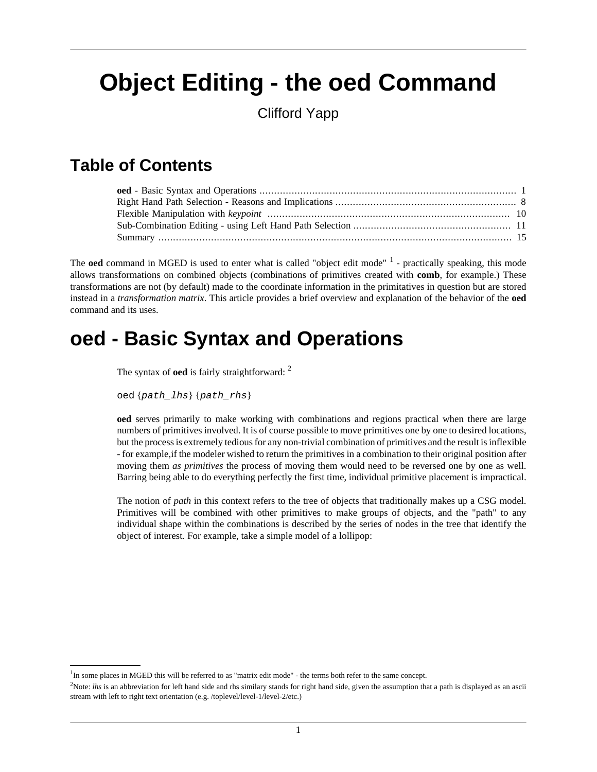# <span id="page-0-0"></span>**Object Editing - the oed Command**

Clifford Yapp

### **Table of Contents**

The **oed** command in MGED is used to enter what is called "object edit mode" <sup>1</sup> - practically speaking, this mode allows transformations on combined objects (combinations of primitives created with **comb**, for example.) These transformations are not (by default) made to the coordinate information in the primitatives in question but are stored instead in a *transformation matrix*. This article provides a brief overview and explanation of the behavior of the **oed** command and its uses.

## **oed - Basic Syntax and Operations**

The syntax of **oed** is fairly straightforward: <sup>2</sup>

oed {path\_lhs} {path\_rhs}

**oed** serves primarily to make working with combinations and regions practical when there are large numbers of primitives involved. It is of course possible to move primitives one by one to desired locations, but the process is extremely tedious for any non-trivial combination of primitives and the result is inflexible - for example,if the modeler wished to return the primitives in a combination to their original position after moving them *as primitives* the process of moving them would need to be reversed one by one as well. Barring being able to do everything perfectly the first time, individual primitive placement is impractical.

The notion of *path* in this context refers to the tree of objects that traditionally makes up a CSG model. Primitives will be combined with other primitives to make groups of objects, and the "path" to any individual shape within the combinations is described by the series of nodes in the tree that identify the object of interest. For example, take a simple model of a lollipop:

<sup>&</sup>lt;sup>1</sup>In some places in MGED this will be referred to as "matrix edit mode" - the terms both refer to the same concept.

<sup>&</sup>lt;sup>2</sup>Note: *lhs* is an abbreviation for left hand side and rhs similary stands for right hand side, given the assumption that a path is displayed as an ascii stream with left to right text orientation (e.g. /toplevel/level-1/level-2/etc.)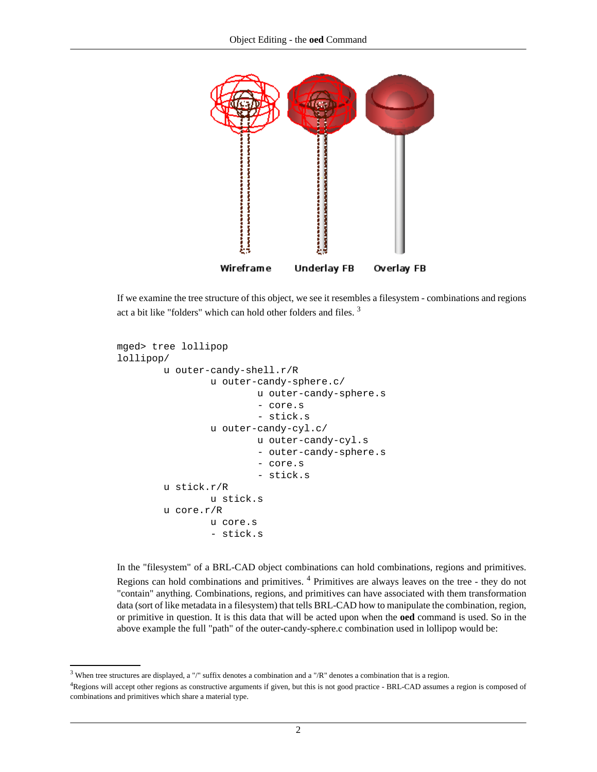

If we examine the tree structure of this object, we see it resembles a filesystem - combinations and regions act a bit like "folders" which can hold other folders and files.<sup>3</sup>

```
mged> tree lollipop
lollipop/
         u outer-candy-shell.r/R
                  u outer-candy-sphere.c/
                           u outer-candy-sphere.s
                           - core.s
                           - stick.s
                  u outer-candy-cyl.c/
                           u outer-candy-cyl.s
                           - outer-candy-sphere.s
                           - core.s
                           - stick.s
         u stick.r/R
                  u stick.s
         u core.r/R
                  u core.s
                  - stick.s
```
In the "filesystem" of a BRL-CAD object combinations can hold combinations, regions and primitives. Regions can hold combinations and primitives. <sup>4</sup> Primitives are always leaves on the tree - they do not "contain" anything. Combinations, regions, and primitives can have associated with them transformation data (sort of like metadata in a filesystem) that tells BRL-CAD how to manipulate the combination, region, or primitive in question. It is this data that will be acted upon when the **oed** command is used. So in the above example the full "path" of the outer-candy-sphere.c combination used in lollipop would be:

<sup>&</sup>lt;sup>3</sup> When tree structures are displayed, a "/" suffix denotes a combination and a "/R" denotes a combination that is a region.

<sup>&</sup>lt;sup>4</sup>Regions will accept other regions as constructive arguments if given, but this is not good practice - BRL-CAD assumes a region is composed of combinations and primitives which share a material type.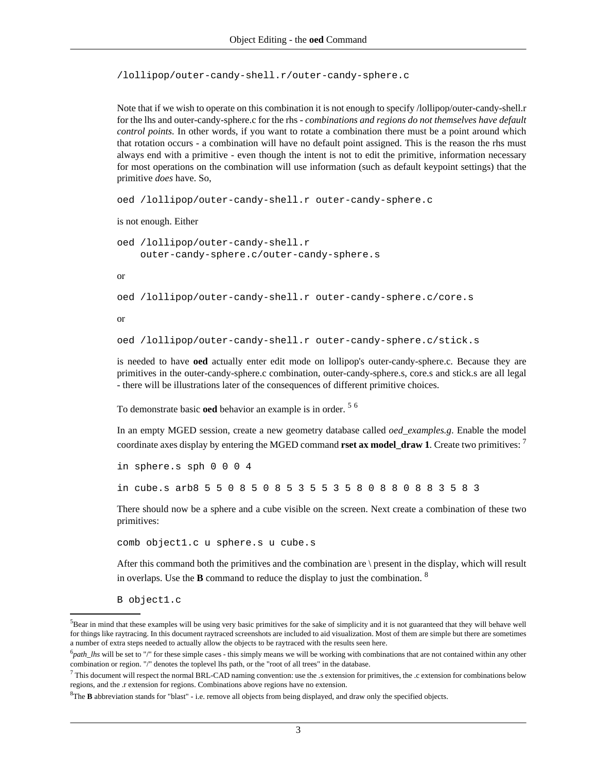/lollipop/outer-candy-shell.r/outer-candy-sphere.c

Note that if we wish to operate on this combination it is not enough to specify /lollipop/outer-candy-shell.r for the lhs and outer-candy-sphere.c for the rhs - *combinations and regions do not themselves have default control points.* In other words, if you want to rotate a combination there must be a point around which that rotation occurs - a combination will have no default point assigned. This is the reason the rhs must always end with a primitive - even though the intent is not to edit the primitive, information necessary for most operations on the combination will use information (such as default keypoint settings) that the primitive *does* have. So,

```
oed /lollipop/outer-candy-shell.r outer-candy-sphere.c
```

```
is not enough. Either
```

```
oed /lollipop/outer-candy-shell.r 
     outer-candy-sphere.c/outer-candy-sphere.s
```
or

```
oed /lollipop/outer-candy-shell.r outer-candy-sphere.c/core.s
```
or

```
oed /lollipop/outer-candy-shell.r outer-candy-sphere.c/stick.s
```
is needed to have **oed** actually enter edit mode on lollipop's outer-candy-sphere.c. Because they are primitives in the outer-candy-sphere.c combination, outer-candy-sphere.s, core.s and stick.s are all legal - there will be illustrations later of the consequences of different primitive choices.

To demonstrate basic **oed** behavior an example is in order. <sup>5</sup> <sup>6</sup>

In an empty MGED session, create a new geometry database called *oed\_examples.g*. Enable the model coordinate axes display by entering the MGED command **rset ax model\_draw 1**. Create two primitives: <sup>7</sup>

```
in sphere.s sph 0 0 0 4
in cube.s arb8 5 5 0 8 5 0 8 5 3 5 5 3 5 8 0 8 8 0 8 8 3 5 8 3
```
There should now be a sphere and a cube visible on the screen. Next create a combination of these two primitives:

```
comb object1.c u sphere.s u cube.s
```
After this command both the primitives and the combination are \ present in the display, which will result in overlaps. Use the **B** command to reduce the display to just the combination. <sup>8</sup>

B object1.c

<sup>&</sup>lt;sup>5</sup>Bear in mind that these examples will be using very basic primitives for the sake of simplicity and it is not guaranteed that they will behave well for things like raytracing. In this document raytraced screenshots are included to aid visualization. Most of them are simple but there are sometimes a number of extra steps needed to actually allow the objects to be raytraced with the results seen here.

<sup>&</sup>lt;sup>6</sup>path\_lhs will be set to "/" for these simple cases - this simply means we will be working with combinations that are not contained within any other combination or region. "/" denotes the toplevel lhs path, or the "root of all trees" in the database.

 $^7$  This document will respect the normal BRL-CAD naming convention: use the .s extension for primitives, the .c extension for combinations below regions, and the .r extension for regions. Combinations above regions have no extension.

<sup>&</sup>lt;sup>8</sup>The **B** abbreviation stands for "blast" - i.e. remove all objects from being displayed, and draw only the specified objects.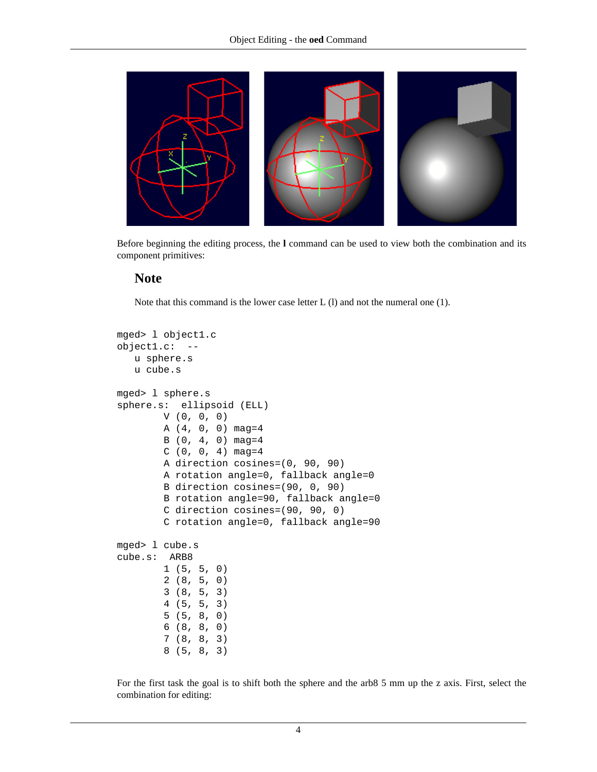

Before beginning the editing process, the **l** command can be used to view both the combination and its component primitives:

#### **Note**

Note that this command is the lower case letter L (l) and not the numeral one (1).

```
mged> l object1.c
object1.c: --
    u sphere.s
    u cube.s
mged> l sphere.s
sphere.s: ellipsoid (ELL)
         V (0, 0, 0)
         A (4, 0, 0) mag=4
        B(0, 4, 0) mag=4
        C(0, 0, 4) mag=4
         A direction cosines=(0, 90, 90)
         A rotation angle=0, fallback angle=0
         B direction cosines=(90, 0, 90)
         B rotation angle=90, fallback angle=0
         C direction cosines=(90, 90, 0)
         C rotation angle=0, fallback angle=90
mged> l cube.s
cube.s: ARB8
         1 (5, 5, 0)
         2 (8, 5, 0)
         3 (8, 5, 3)
         4 (5, 5, 3)
         5 (5, 8, 0)
         6 (8, 8, 0)
         7 (8, 8, 3)
         8 (5, 8, 3)
```
For the first task the goal is to shift both the sphere and the arb8 5 mm up the z axis. First, select the combination for editing: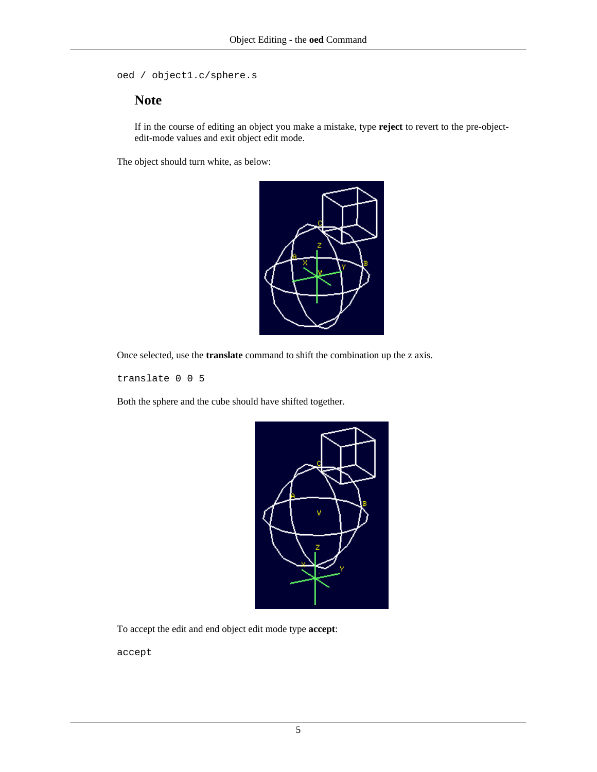```
oed / object1.c/sphere.s
```
#### **Note**

If in the course of editing an object you make a mistake, type **reject** to revert to the pre-objectedit-mode values and exit object edit mode.

The object should turn white, as below:



Once selected, use the **translate** command to shift the combination up the z axis.

translate 0 0 5

Both the sphere and the cube should have shifted together.



To accept the edit and end object edit mode type **accept**:

accept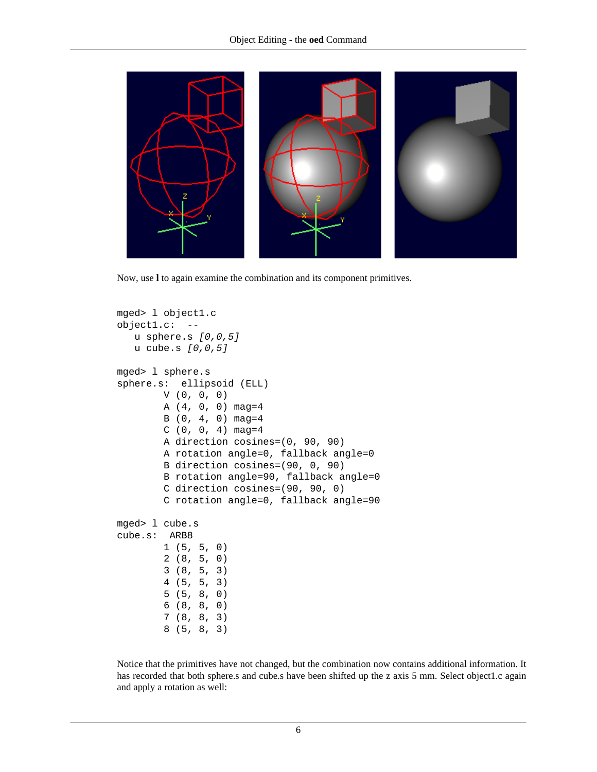

Now, use **l** to again examine the combination and its component primitives.

```
mged> l object1.c
object1.c: --
    u sphere.s [0,0,5]
    u cube.s [0,0,5]
mged> l sphere.s
sphere.s: ellipsoid (ELL)
         V (0, 0, 0)
         A (4, 0, 0) mag=4
         B (0, 4, 0) mag=4
        C(0, 0, 4) mag=4
         A direction cosines=(0, 90, 90)
         A rotation angle=0, fallback angle=0
         B direction cosines=(90, 0, 90)
         B rotation angle=90, fallback angle=0
         C direction cosines=(90, 90, 0)
         C rotation angle=0, fallback angle=90
mged> l cube.s
cube.s: ARB8
         1 (5, 5, 0)
         2 (8, 5, 0)
         3 (8, 5, 3)
         4 (5, 5, 3)
         5 (5, 8, 0)
         6 (8, 8, 0)
         7 (8, 8, 3)
         8 (5, 8, 3)
```
Notice that the primitives have not changed, but the combination now contains additional information. It has recorded that both sphere.s and cube.s have been shifted up the z axis 5 mm. Select object1.c again and apply a rotation as well: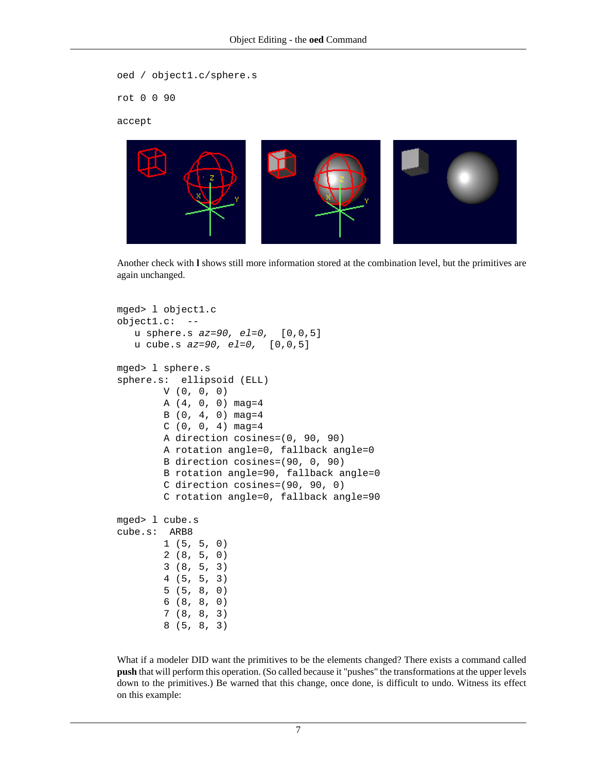```
oed / object1.c/sphere.s
rot 0 0 90
```
accept



Another check with **l** shows still more information stored at the combination level, but the primitives are again unchanged.

```
mged> l object1.c
object1.c: --
   u sphere.s az=90, el=0, [0,0,5] u cube.s az=90, el=0, [0,0,5]
mged> l sphere.s
sphere.s: ellipsoid (ELL)
         V (0, 0, 0)
        A(4, 0, 0) mag=4
         B (0, 4, 0) mag=4
        C(0, 0, 4) mag=4
         A direction cosines=(0, 90, 90)
         A rotation angle=0, fallback angle=0
         B direction cosines=(90, 0, 90)
         B rotation angle=90, fallback angle=0
         C direction cosines=(90, 90, 0)
         C rotation angle=0, fallback angle=90
mged> l cube.s
cube.s: ARB8
         1 (5, 5, 0)
         2 (8, 5, 0)
         3 (8, 5, 3)
         4 (5, 5, 3)
         5 (5, 8, 0)
         6 (8, 8, 0)
         7 (8, 8, 3)
         8 (5, 8, 3)
```
What if a modeler DID want the primitives to be the elements changed? There exists a command called **push** that will perform this operation. (So called because it "pushes" the transformations at the upper levels down to the primitives.) Be warned that this change, once done, is difficult to undo. Witness its effect on this example: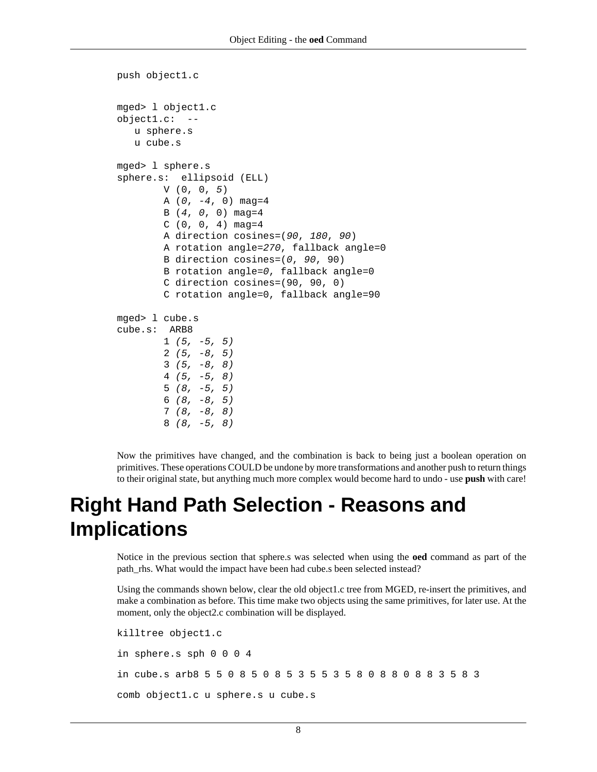```
push object1.c
mged> l object1.c
object1.c: --
    u sphere.s
    u cube.s
mged> l sphere.s
sphere.s: ellipsoid (ELL)
         V (0, 0, 5)
        A (0, -4, 0) mag=4
        B(4, 0, 0) mag=4
        C(0, 0, 4) mag=4
         A direction cosines=(90, 180, 90)
         A rotation angle=270, fallback angle=0
         B direction cosines=(0, 90, 90)
         B rotation angle=0, fallback angle=0
         C direction cosines=(90, 90, 0)
         C rotation angle=0, fallback angle=90
mged> l cube.s
cube.s: ARB8
        1 (5, -5, 5)2(5, -8, 5)3(5, -8, 8) 4 (5, -5, 8)
        5(8, -5, 5)6(8, -8, 5) 7 (8, -8, 8)
         8 (8, -5, 8)
```
Now the primitives have changed, and the combination is back to being just a boolean operation on primitives. These operations COULD be undone by more transformations and another push to return things to their original state, but anything much more complex would become hard to undo - use **push** with care!

# **Right Hand Path Selection - Reasons and Implications**

Notice in the previous section that sphere.s was selected when using the **oed** command as part of the path\_rhs. What would the impact have been had cube.s been selected instead?

Using the commands shown below, clear the old object1.c tree from MGED, re-insert the primitives, and make a combination as before. This time make two objects using the same primitives, for later use. At the moment, only the object2.c combination will be displayed.

```
killtree object1.c
in sphere.s sph 0 0 0 4
in cube.s arb8 5 5 0 8 5 0 8 5 3 5 5 3 5 8 0 8 8 0 8 8 3 5 8 3
comb object1.c u sphere.s u cube.s
```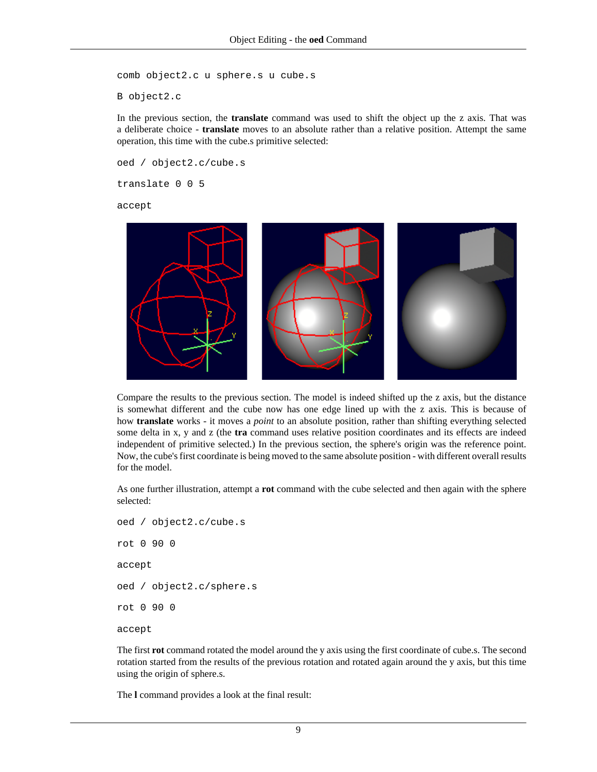comb object2.c u sphere.s u cube.s

B object2.c

In the previous section, the **translate** command was used to shift the object up the z axis. That was a deliberate choice - **translate** moves to an absolute rather than a relative position. Attempt the same operation, this time with the cube.s primitive selected:

oed / object2.c/cube.s

translate 0 0 5

accept



Compare the results to the previous section. The model is indeed shifted up the z axis, but the distance is somewhat different and the cube now has one edge lined up with the z axis. This is because of how **translate** works - it moves a *point* to an absolute position, rather than shifting everything selected some delta in x, y and z (the **tra** command uses relative position coordinates and its effects are indeed independent of primitive selected.) In the previous section, the sphere's origin was the reference point. Now, the cube's first coordinate is being moved to the same absolute position - with different overall results for the model.

As one further illustration, attempt a **rot** command with the cube selected and then again with the sphere selected:

oed / object2.c/cube.s rot 0 90 0 accept oed / object2.c/sphere.s rot 0 90 0 accept

The first **rot** command rotated the model around the y axis using the first coordinate of cube.s. The second rotation started from the results of the previous rotation and rotated again around the y axis, but this time using the origin of sphere.s.

The **l** command provides a look at the final result: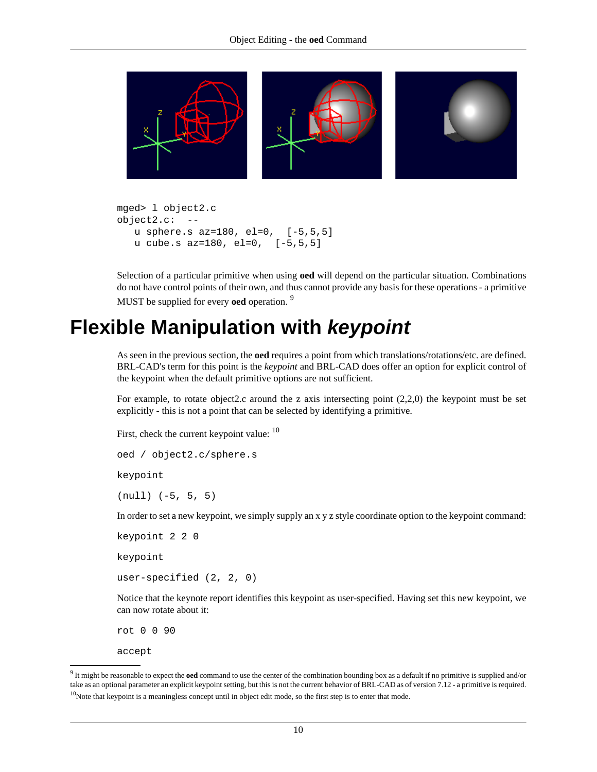<span id="page-9-0"></span>

```
mged> l object2.c
object2.c: --
   u sphere.s az=180, el=0, [-5,5,5]
   u cube.s az=180, el=0, [-5,5,5]
```
Selection of a particular primitive when using **oed** will depend on the particular situation. Combinations do not have control points of their own, and thus cannot provide any basis for these operations - a primitive MUST be supplied for every **oed** operation. <sup>9</sup>

### **Flexible Manipulation with keypoint**

As seen in the previous section, the **oed** requires a point from which translations/rotations/etc. are defined. BRL-CAD's term for this point is the *keypoint* and BRL-CAD does offer an option for explicit control of the keypoint when the default primitive options are not sufficient.

For example, to rotate object2.c around the z axis intersecting point  $(2,2,0)$  the keypoint must be set explicitly - this is not a point that can be selected by identifying a primitive.

First, check the current keypoint value:  $10$ 

```
oed / object2.c/sphere.s
```
keypoint

(null) (-5, 5, 5)

In order to set a new keypoint, we simply supply an x y z style coordinate option to the keypoint command:

keypoint 2 2 0

keypoint

user-specified (2, 2, 0)

Notice that the keynote report identifies this keypoint as user-specified. Having set this new keypoint, we can now rotate about it:

rot 0 0 90

accept

<sup>9</sup> It might be reasonable to expect the **oed** command to use the center of the combination bounding box as a default if no primitive is supplied and/or take as an optional parameter an explicit keypoint setting, but this is not the current behavior of BRL-CAD as of version 7.12 - a primitive is required.

 $10$ Note that keypoint is a meaningless concept until in object edit mode, so the first step is to enter that mode.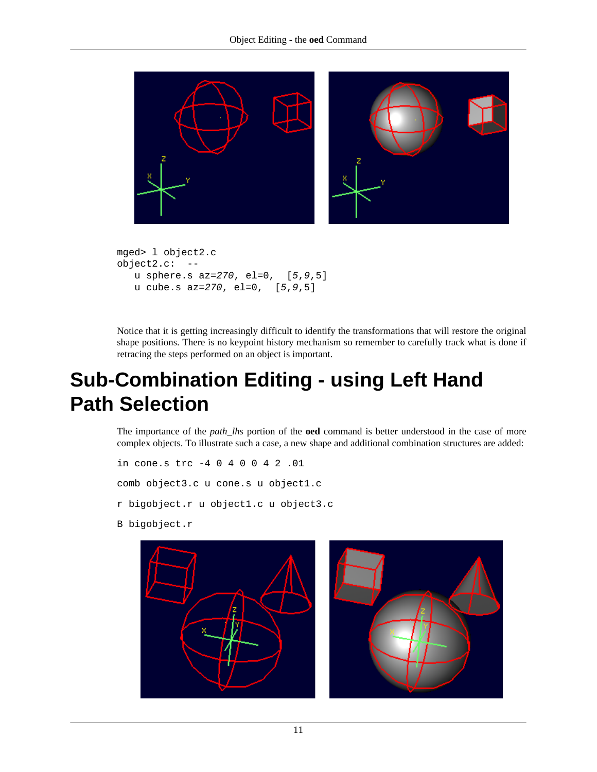<span id="page-10-0"></span>

```
mged> l object2.c
object2.c: --
    u sphere.s az=270, el=0, [5,9,5]
   u cube.s az=270, el=0, [5,9,5]
```
Notice that it is getting increasingly difficult to identify the transformations that will restore the original shape positions. There is no keypoint history mechanism so remember to carefully track what is done if retracing the steps performed on an object is important.

# **Sub-Combination Editing - using Left Hand Path Selection**

The importance of the *path\_lhs* portion of the **oed** command is better understood in the case of more complex objects. To illustrate such a case, a new shape and additional combination structures are added:

```
in cone.s trc -4 0 4 0 0 4 2 .01
comb object3.c u cone.s u object1.c
r bigobject.r u object1.c u object3.c
```
B bigobject.r



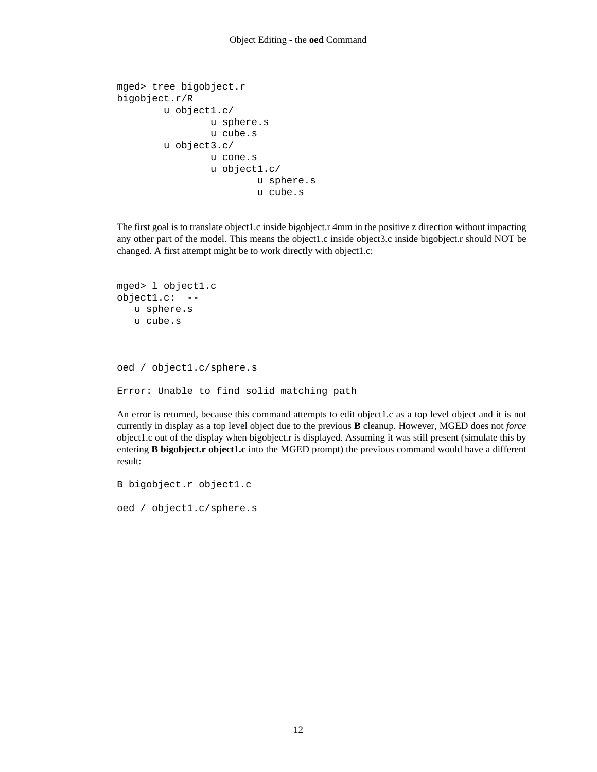```
mged> tree bigobject.r
bigobject.r/R
         u object1.c/
                  u sphere.s
                  u cube.s
         u object3.c/
                  u cone.s
                  u object1.c/
                           u sphere.s
                           u cube.s
```
The first goal is to translate object1.c inside bigobject.r 4mm in the positive z direction without impacting any other part of the model. This means the object1.c inside object3.c inside bigobject.r should NOT be changed. A first attempt might be to work directly with object1.c:

```
mged> l object1.c
object1.c: --
    u sphere.s
    u cube.s
oed / object1.c/sphere.s
Error: Unable to find solid matching path
```
An error is returned, because this command attempts to edit object1.c as a top level object and it is not currently in display as a top level object due to the previous **B** cleanup. However, MGED does not *force* object1.c out of the display when bigobject.r is displayed. Assuming it was still present (simulate this by entering **B bigobject.r object1.c** into the MGED prompt) the previous command would have a different result:

```
B bigobject.r object1.c
oed / object1.c/sphere.s
```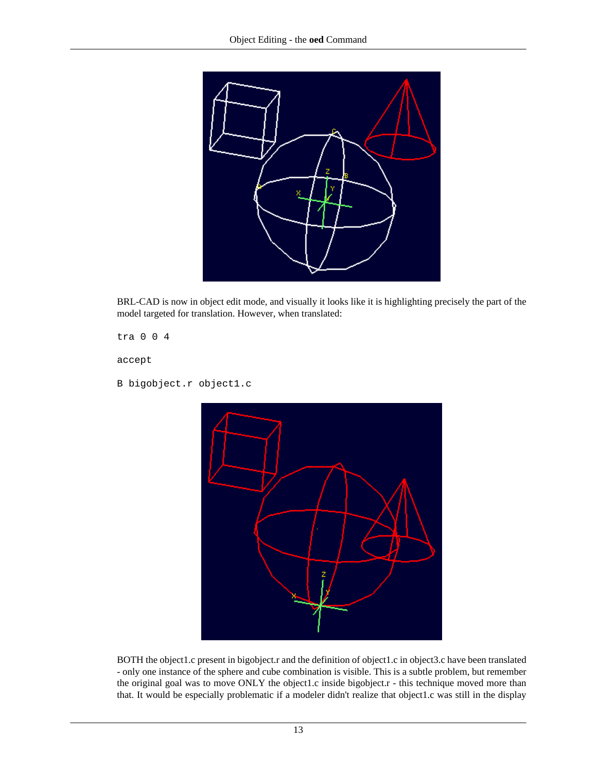

BRL-CAD is now in object edit mode, and visually it looks like it is highlighting precisely the part of the model targeted for translation. However, when translated:

tra 0 0 4

accept

B bigobject.r object1.c



BOTH the object1.c present in bigobject.r and the definition of object1.c in object3.c have been translated - only one instance of the sphere and cube combination is visible. This is a subtle problem, but remember the original goal was to move ONLY the object1.c inside bigobject.r - this technique moved more than that. It would be especially problematic if a modeler didn't realize that object1.c was still in the display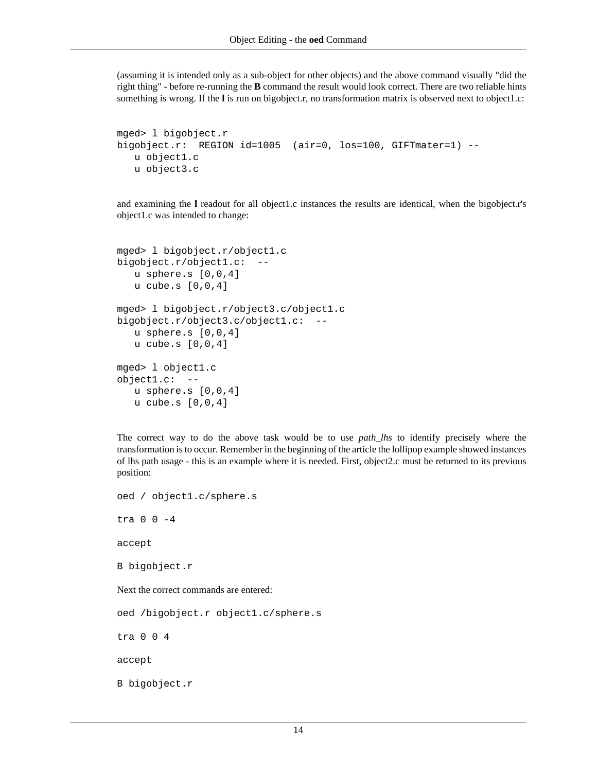(assuming it is intended only as a sub-object for other objects) and the above command visually "did the right thing" - before re-running the **B** command the result would look correct. There are two reliable hints something is wrong. If the **l** is run on bigobject.r, no transformation matrix is observed next to object1.c:

```
mged> l bigobject.r
bigobject.r: REGION id=1005 (air=0, los=100, GIFTmater=1) --
    u object1.c
    u object3.c
```
and examining the **l** readout for all object1.c instances the results are identical, when the bigobject.r's object1.c was intended to change:

```
mged> l bigobject.r/object1.c
bigobject.r/object1.c:
    u sphere.s [0,0,4]
    u cube.s [0,0,4]
mged> l bigobject.r/object3.c/object1.c
bigobject.r/object3.c/object1.c: --
    u sphere.s [0,0,4]
    u cube.s [0,0,4]
mged> l object1.c
object1.c: --
    u sphere.s [0,0,4]
    u cube.s [0,0,4]
```
The correct way to do the above task would be to use *path\_lhs* to identify precisely where the transformation is to occur. Remember in the beginning of the article the lollipop example showed instances of lhs path usage - this is an example where it is needed. First, object2.c must be returned to its previous position:

```
oed / object1.c/sphere.s
tra 0 0 -4
accept
B bigobject.r
Next the correct commands are entered:
oed /bigobject.r object1.c/sphere.s
tra 0 0 4
accept
B bigobject.r
```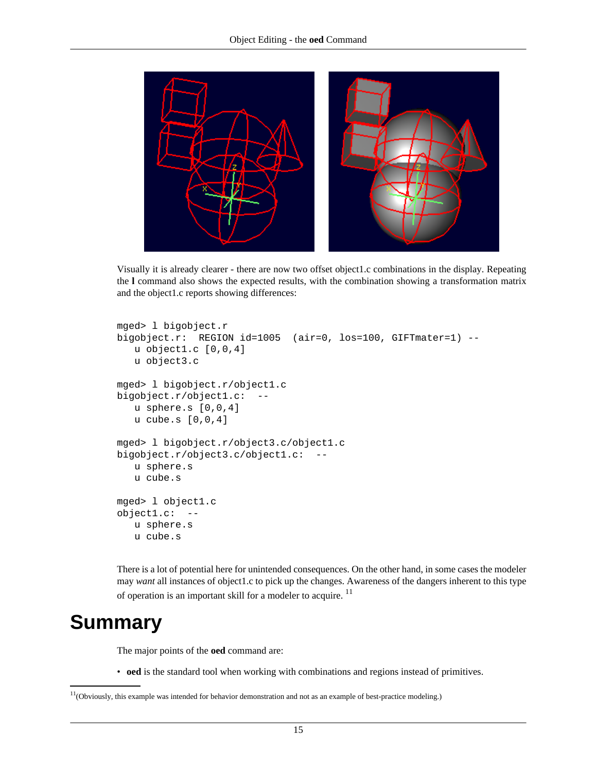<span id="page-14-0"></span>

Visually it is already clearer - there are now two offset object1.c combinations in the display. Repeating the **l** command also shows the expected results, with the combination showing a transformation matrix and the object1.c reports showing differences:

```
mged> l bigobject.r
bigobject.r: REGION id=1005 (air=0, los=100, GIFTmater=1) --
    u object1.c [0,0,4]
    u object3.c
mged> l bigobject.r/object1.c
bigobject.r/object1.c:
    u sphere.s [0,0,4]
    u cube.s [0,0,4]
mged> l bigobject.r/object3.c/object1.c
bigobject.r/object3.c/object1.c: --
    u sphere.s
    u cube.s
mged> l object1.c
object1.c: --
    u sphere.s
    u cube.s
```
There is a lot of potential here for unintended consequences. On the other hand, in some cases the modeler may *want* all instances of object1.c to pick up the changes. Awareness of the dangers inherent to this type of operation is an important skill for a modeler to acquire. <sup>11</sup>

### **Summary**

The major points of the **oed** command are:

• **oed** is the standard tool when working with combinations and regions instead of primitives.

 $11$ (Obviously, this example was intended for behavior demonstration and not as an example of best-practice modeling.)